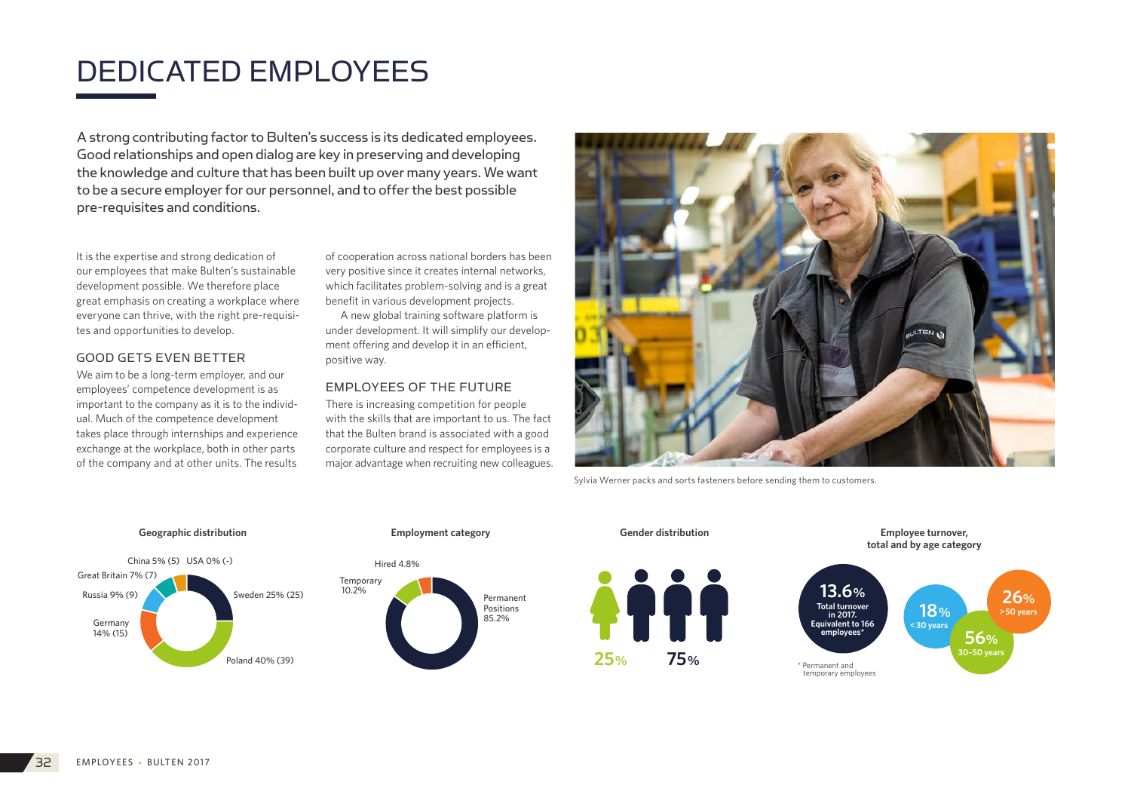# DEDICATED EMPLOYEES

A strong contributing factor to Bulten's success is its dedicated employees. Good relationships and open dialog are key in preserving and developing the knowledge and culture that has been built up over many years. We want to be a secure employer for our personnel, and to offer the best possible pre-requisites and conditions.

It is the expertise and strong dedication of our employees that make Bulten's sustainable development possible. We therefore place great emphasis on creating a workplace where everyone can thrive, with the right pre-requisites and opportunities to develop.

#### GOOD GETS EVEN BETTER

We aim to be a long-term employer, and our employees' competence development is as important to the company as it is to the individual. Much of the competence development takes place through internships and experience exchange at the workplace, both in other parts of the company and at other units. The results

of cooperation across national borders has been very positive since it creates internal networks, which facilitates problem-solving and is a great benefit in various development projects.

A new global training software platform is under development. It will simplify our development offering and develop it in an efficient, positive way.

## EMPLOYEES OF THE FUTURE

There is increasing competition for people with the skills that are important to us. The fact that the Bulten brand is associated with a good corporate culture and respect for employees is a major advantage when recruiting new colleagues.



Sylvia Werner packs and sorts fasteners before sending them to customers.